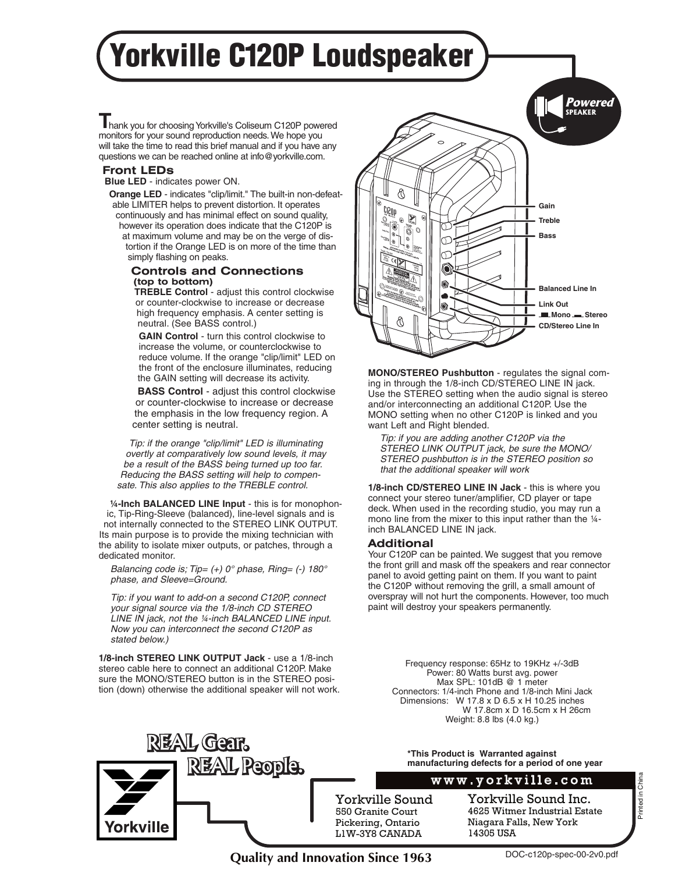# Yorkville C120P Loudspeaker

 hank you for choosing Yorkville's Coliseum C120P powered **T** monitors for your sound reproduction needs. We hope you will take the time to read this brief manual and if you have any questions we can be reached online at info@yorkville.com.

#### **Front LEDs**

**Blue LED** - indicates power ON.

**Orange LED** - indicates "clip/limit." The built-in non-defeatable LIMITER helps to prevent distortion. It operates continuously and has minimal effect on sound quality, however its operation does indicate that the C120P is at maximum volume and may be on the verge of distortion if the Orange LED is on more of the time than simply flashing on peaks.

#### **Controls and Connections (top to bottom)**

**TREBLE Control** - adjust this control clockwise or counter-clockwise to increase or decrease high frequency emphasis. A center setting is neutral. (See BASS control.)

**GAIN Control** - turn this control clockwise to increase the volume, or counterclockwise to reduce volume. If the orange "clip/limit" LED on the front of the enclosure illuminates, reducing the GAIN setting will decrease its activity.

**BASS Control** - adjust this control clockwise or counter-clockwise to increase or decrease the emphasis in the low frequency region. A center setting is neutral.

*Tip: if the orange "clip/limit" LED is illuminating overtly at comparatively low sound levels, it may be a result of the BASS being turned up too far. Reducing the BASS setting will help to compensate. This also applies to the TREBLE control.*

**¼-Inch BALANCED LINE Input** - this is for monophonic, Tip-Ring-Sleeve (balanced), line-level signals and is not internally connected to the STEREO LINK OUTPUT. Its main purpose is to provide the mixing technician with the ability to isolate mixer outputs, or patches, through a dedicated monitor.

*Balancing code is; Tip= (+) 0° phase, Ring= (-) 180° phase, and Sleeve=Ground.*

*Tip: if you want to add-on a second C120P, connect your signal source via the 1/8-inch CD STEREO LINE IN jack, not the ¼-inch BALANCED LINE input. Now you can interconnect the second C120P as stated below.)*

**1/8-inch STEREO LINK OUTPUT Jack** - use a 1/8-inch stereo cable here to connect an additional C120P. Make sure the MONO/STEREO button is in the STEREO position (down) otherwise the additional speaker will not work.

**REAL People.** 

**REAL Gear.** 

orkville



**MONO/STEREO Pushbutton** - regulates the signal coming in through the 1/8-inch CD/STEREO LINE IN jack. Use the STEREO setting when the audio signal is stereo and/or interconnecting an additional C120P. Use the MONO setting when no other C120P is linked and you want Left and Right blended.

*Tip: if you are adding another C120P via the STEREO LINK OUTPUT jack, be sure the MONO/ STEREO pushbutton is in the STEREO position so that the additional speaker will work*

**1/8-inch CD/STEREO LINE IN Jack** - this is where you connect your stereo tuner/amplifier, CD player or tape deck. When used in the recording studio, you may run a mono line from the mixer to this input rather than the 1/4inch BALANCED LINE IN jack.

#### **Additional**

Your C120P can be painted. We suggest that you remove the front grill and mask off the speakers and rear connector panel to avoid getting paint on them. If you want to paint the C120P without removing the grill, a small amount of overspray will not hurt the components. However, too much paint will destroy your speakers permanently.

Frequency response: 65Hz to 19KHz +/-3dB Power: 80 Watts burst avg. power Max SPL: 101dB @ 1 meter Connectors: 1/4-inch Phone and 1/8-inch Mini Jack Dimensions: W 17.8 x D 6.5 x H 10.25 inches W 17.8cm x D 16.5cm x H 26cm Weight: 8.8 lbs (4.0 kg.)

**\*This Product is Warranted against manufacturing defects for a period of one year**

#### www.yorkville.com

Yorkville Sound 550 Granite Court Pickering, Ontario L1W-3Y8 CANADA

Yorkville Sound Inc. 4625 Witmer Industrial Estate Niagara Falls, New York 14305 USA

**Quality and Innovation Since 1963**

Printed in China

Printed in China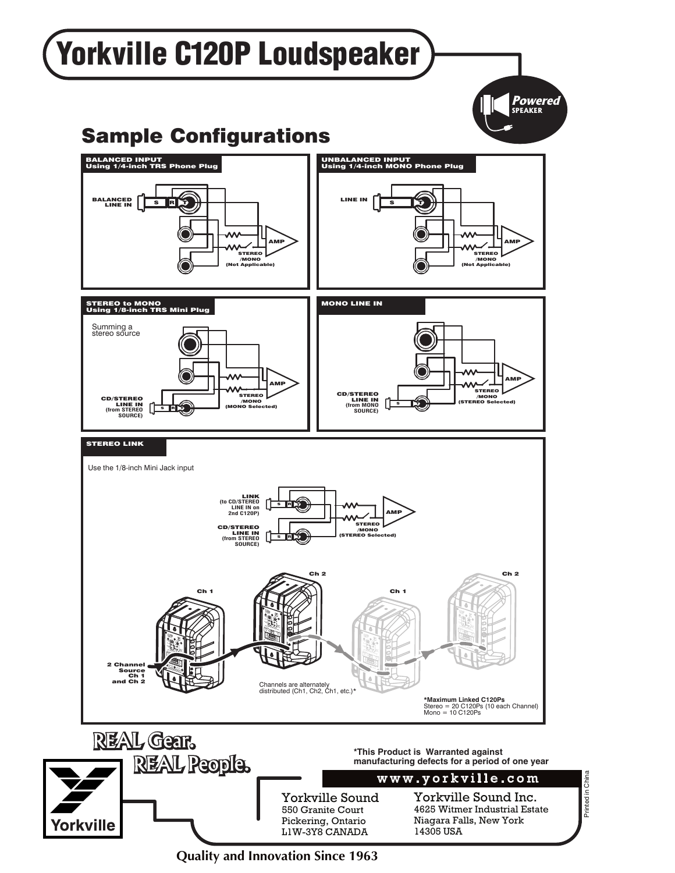

**Quality and Innovation Since 1963**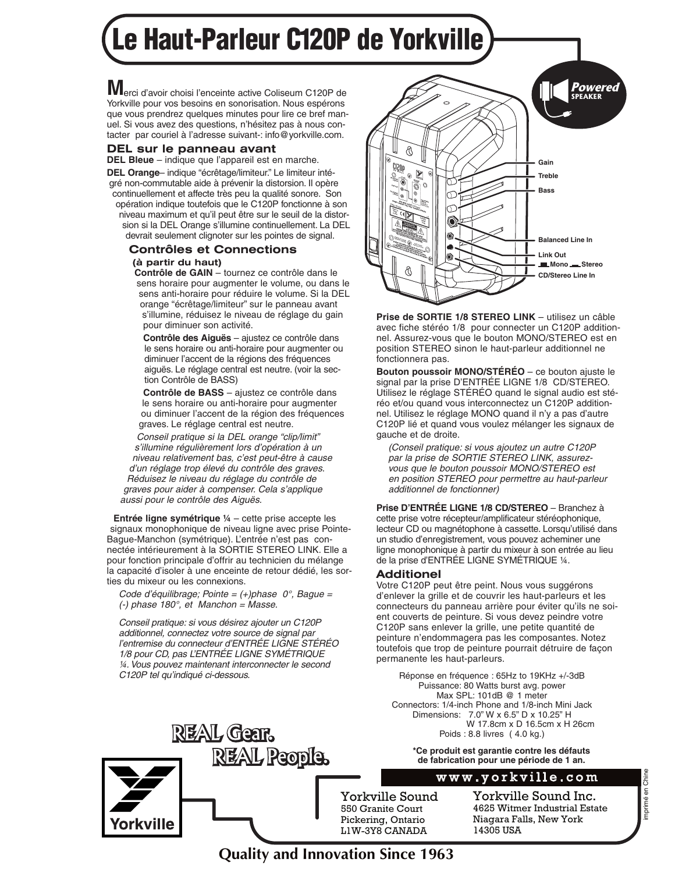## Le Haut-Parleur C120P de Yorkville

 erci d'avoir choisi l'enceinte active Coliseum C120P de **M** Yorkville pour vos besoins en sonorisation. Nous espérons que vous prendrez quelques minutes pour lire ce bref manuel. Si vous avez des questions, n'hésitez pas à nous contacter par couriel à l'adresse suivant-: info@yorkville.com.

#### **DEL sur le panneau avant**

**DEL Bleue** – indique que l'appareil est en marche. **DEL Orange**– indique "écrêtage/limiteur." Le limiteur intégré non-commutable aide à prévenir la distorsion. Il opère continuellement et affecte très peu la qualité sonore. Son opération indique toutefois que le C120P fonctionne à son niveau maximum et qu'il peut être sur le seuil de la distorsion si la DEL Orange s'illumine continuellement. La DEL devrait seulement clignoter sur les pointes de signal.

#### **Contrôles et Connections (à partir du haut)**

**Contrôle de GAIN** – tournez ce contrôle dans le sens horaire pour augmenter le volume, ou dans le sens anti-horaire pour réduire le volume. Si la DEL orange "écrêtage/limiteur" sur le panneau avant s'illumine, réduisez le niveau de réglage du gain pour diminuer son activité.

**Contrôle des Aiguës** – ajustez ce contrôle dans le sens horaire ou anti-horaire pour augmenter ou diminuer l'accent de la régions des fréquences aiguës. Le réglage central est neutre. (voir la section Contrôle de BASS)

**Contrôle de BASS** – ajustez ce contrôle dans le sens horaire ou anti-horaire pour augmenter ou diminuer l'accent de la région des fréquences graves. Le réglage central est neutre.

*Conseil pratique si la DEL orange "clip/limit" s'illumine régulièrement lors d'opération à un niveau relativement bas, c'est peut-être à cause d'un réglage trop élevé du contrôle des graves. Réduisez le niveau du réglage du contrôle de graves pour aider à compenser. Cela s'applique aussi pour le contrôle des Aiguës.*

**Entrée ligne symétrique ¼** – cette prise accepte les signaux monophonique de niveau ligne avec prise Pointe-Bague-Manchon (symétrique). L'entrée n'est pas connectée intérieurement à la SORTIE STEREO LINK. Elle a pour fonction principale d'offrir au technicien du mélange la capacité d'isoler à une enceinte de retour dédié, les sorties du mixeur ou les connexions.

*Code d'équilibrage; Pointe = (+)phase 0°, Bague = (-) phase 180°, et Manchon = Masse.*

*Conseil pratique: si vous désirez ajouter un C120P additionnel, connectez votre source de signal par l'entremise du connecteur d'ENTRÉE LIGNE STÉRÉO 1/8 pour CD, pas L'ENTRÉE LIGNE SYMÉTRIQUE ¼. Vous pouvez maintenant interconnecter le second C120P tel qu'indiqué ci-dessous.*

**REAL Gear.** 

**REAL People.** 



**Prise de SORTIE 1/8 STEREO LINK** – utilisez un câble avec fiche stéréo 1/8 pour connecter un C120P additionnel. Assurez-vous que le bouton MONO/STEREO est en position STEREO sinon le haut-parleur additionnel ne fonctionnera pas.

**Bouton poussoir MONO/STÉRÉO** – ce bouton ajuste le signal par la prise D'ENTRÉE LIGNE 1/8 CD/STEREO. Utilisez le réglage STÉRÉO quand le signal audio est stéréo et/ou quand vous interconnectez un C120P additionnel. Utilisez le réglage MONO quand il n'y a pas d'autre C120P lié et quand vous voulez mélanger les signaux de gauche et de droite.

*(Conseil pratique: si vous ajoutez un autre C120P par la prise de SORTIE STEREO LINK, assurezvous que le bouton poussoir MONO/STEREO est en position STEREO pour permettre au haut-parleur additionnel de fonctionner)*

**Prise D'ENTRÉE LIGNE 1/8 CD/STEREO** – Branchez à cette prise votre récepteur/amplificateur stéréophonique, lecteur CD ou magnétophone à cassette. Lorsqu'utilisé dans un studio d'enregistrement, vous pouvez acheminer une ligne monophonique à partir du mixeur à son entrée au lieu de la prise d'ENTRÉE LIGNE SYMÉTRIQUE ¼.

#### **Additionel**

Votre C120P peut être peint. Nous vous suggérons d'enlever la grille et de couvrir les haut-parleurs et les connecteurs du panneau arrière pour éviter qu'ils ne soient couverts de peinture. Si vous devez peindre votre C120P sans enlever la grille, une petite quantité de peinture n'endommagera pas les composantes. Notez toutefois que trop de peinture pourrait détruire de façon permanente les haut-parleurs.

Réponse en fréquence : 65Hz to 19KHz +/-3dB Puissance: 80 Watts burst avg. power Max SPL: 101dB @ 1 meter Connectors: 1/4-inch Phone and 1/8-inch Mini Jack Dimensions: 7.0" W x 6.5" D x 10.25" H W 17.8cm x D 16.5cm x H 26cm Poids : 8.8 livres ( 4.0 kg.)

> **\*Ce produit est garantie contre les défauts de fabrication pour une période de 1 an.**

### www.yorkville.com

Yorkville Sound 550 Granite Court Pickering, Ontario L1W-3Y8 CANADA

Yorkville Sound Inc. 4625 Witmer Industrial Estate Niagara Falls, New York 14305 USA

## **Quality and Innovation Since 1963**